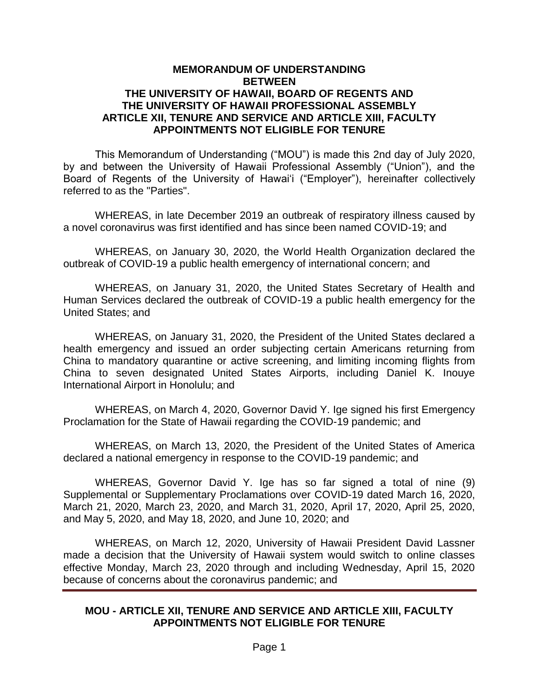## **MEMORANDUM OF UNDERSTANDING BETWEEN THE UNIVERSITY OF HAWAII, BOARD OF REGENTS AND THE UNIVERSITY OF HAWAII PROFESSIONAL ASSEMBLY ARTICLE XII, TENURE AND SERVICE AND ARTICLE XIII, FACULTY APPOINTMENTS NOT ELIGIBLE FOR TENURE**

This Memorandum of Understanding ("MOU") is made this 2nd day of July 2020, by and between the University of Hawaii Professional Assembly ("Union"), and the Board of Regents of the University of Hawai'i ("Employer"), hereinafter collectively referred to as the "Parties".

WHEREAS, in late December 2019 an outbreak of respiratory illness caused by a novel coronavirus was first identified and has since been named COVID-19; and

WHEREAS, on January 30, 2020, the World Health Organization declared the outbreak of COVID-19 a public health emergency of international concern; and

WHEREAS, on January 31, 2020, the United States Secretary of Health and Human Services declared the outbreak of COVID-19 a public health emergency for the United States; and

WHEREAS, on January 31, 2020, the President of the United States declared a health emergency and issued an order subjecting certain Americans returning from China to mandatory quarantine or active screening, and limiting incoming flights from China to seven designated United States Airports, including Daniel K. Inouye International Airport in Honolulu; and

WHEREAS, on March 4, 2020, Governor David Y. Ige signed his first Emergency Proclamation for the State of Hawaii regarding the COVID-19 pandemic; and

WHEREAS, on March 13, 2020, the President of the United States of America declared a national emergency in response to the COVID-19 pandemic; and

WHEREAS, Governor David Y. Ige has so far signed a total of nine (9) Supplemental or Supplementary Proclamations over COVID-19 dated March 16, 2020, March 21, 2020, March 23, 2020, and March 31, 2020, April 17, 2020, April 25, 2020, and May 5, 2020, and May 18, 2020, and June 10, 2020; and

WHEREAS, on March 12, 2020, University of Hawaii President David Lassner made a decision that the University of Hawaii system would switch to online classes effective Monday, March 23, 2020 through and including Wednesday, April 15, 2020 because of concerns about the coronavirus pandemic; and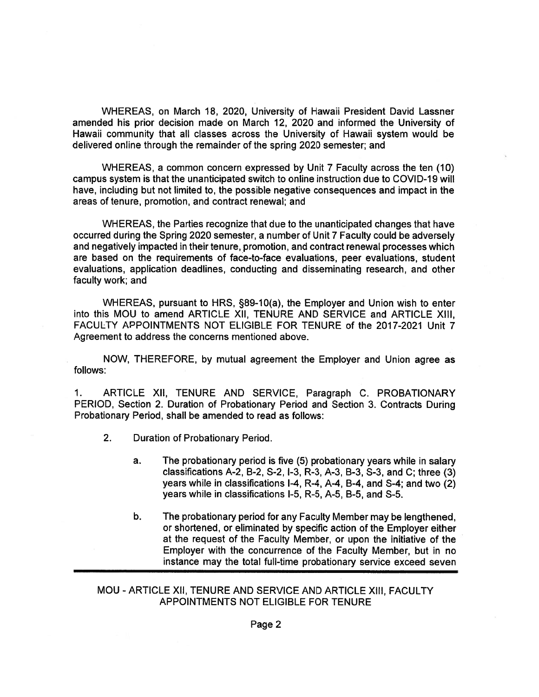WHEREAS, on March 18, 2020, University of Hawaii President David Lassner amended his prior decision made on March 12, 2020 and informed the University of Hawaii community that all classes across the University of Hawaii system would be delivered online through the remainder of the spring 2020 semester; and

WHEREAS, a common concern expressed by Unit 7 Faculty across the ten (10) campus system is that the unanticipated switch to online instruction due to COVID-19 will have, including but not limited to, the possible negative consequences and impact in the areas of tenure, promotion, and contract renewal; and

WHEREAS, the Parties recognize that due to the unanticipated changes that have occurred during the Spring 2020 semester, a number of Unit 7 Faculty could be adversely and negatively impacted in their tenure, promotion, and contract renewal processes which are based on the requirements of face-to-face evaluations, peer evaluations, student evaluations, application deadlines, conducting and disseminating research, and other faculty work; and

WHEREAS, pursuant to HRS, §89-10(a), the Employer and Union wish to enter into this MOU to amend ARTICLE XII, TENURE AND SERVICE and ARTICLE XIII, FACULTY APPOINTMENTS NOT ELIGIBLE FOR TENURE of the 2017-2021 Unit 7 Agreement to address the concerns mentioned above.

NOW, THEREFORE, by mutual agreement the Employer and Union agree as follows:

 $\mathbf{1}$ . ARTICLE XII, TENURE AND SERVICE, Paragraph C. PROBATIONARY PERIOD, Section 2. Duration of Probationary Period and Section 3. Contracts During Probationary Period, shall be amended to read as follows:

- $2<sub>1</sub>$ Duration of Probationary Period.
	- The probationary period is five (5) probationary years while in salary a. classifications A-2, B-2, S-2, I-3, R-3, A-3, B-3, S-3, and C; three (3) years while in classifications I-4, R-4, A-4, B-4, and S-4; and two (2) years while in classifications I-5, R-5, A-5, B-5, and S-5,
	- b. The probationary period for any Faculty Member may be lengthened, or shortened, or eliminated by specific action of the Employer either at the request of the Faculty Member, or upon the initiative of the Employer with the concurrence of the Faculty Member, but in no instance may the total full-time probationary service exceed seven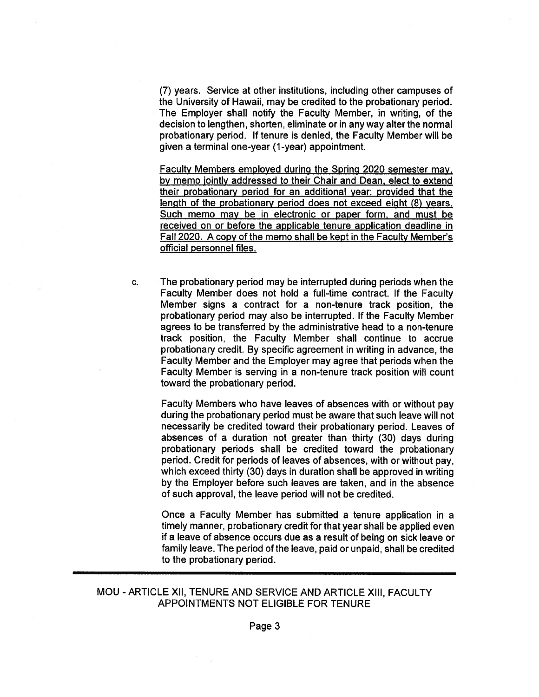(7) years. Service at other institutions, including other campuses of the University of Hawaii, may be credited to the probationary period. The Employer shall notify the Faculty Member, in writing, of the decision to lengthen, shorten, eliminate or in any way alter the normal probationary period. If tenure is denied, the Faculty Member will be given a terminal one-year (1-year) appointment.

Faculty Members employed during the Spring 2020 semester may, by memo jointly addressed to their Chair and Dean, elect to extend their probationary period for an additional year; provided that the length of the probationary period does not exceed eight (8) years. Such memo may be in electronic or paper form, and must be received on or before the applicable tenure application deadline in Fall 2020. A copy of the memo shall be kept in the Faculty Member's official personnel files.

The probationary period may be interrupted during periods when the C. Faculty Member does not hold a full-time contract. If the Faculty Member signs a contract for a non-tenure track position, the probationary period may also be interrupted. If the Faculty Member agrees to be transferred by the administrative head to a non-tenure track position, the Faculty Member shall continue to accrue probationary credit. By specific agreement in writing in advance, the Faculty Member and the Employer may agree that periods when the Faculty Member is serving in a non-tenure track position will count toward the probationary period.

Faculty Members who have leaves of absences with or without pay during the probationary period must be aware that such leave will not necessarily be credited toward their probationary period. Leaves of absences of a duration not greater than thirty (30) days during probationary periods shall be credited toward the probationary period. Credit for periods of leaves of absences, with or without pay, which exceed thirty (30) days in duration shall be approved in writing by the Employer before such leaves are taken, and in the absence of such approval, the leave period will not be credited.

Once a Faculty Member has submitted a tenure application in a timely manner, probationary credit for that year shall be applied even if a leave of absence occurs due as a result of being on sick leave or family leave. The period of the leave, paid or unpaid, shall be credited to the probationary period.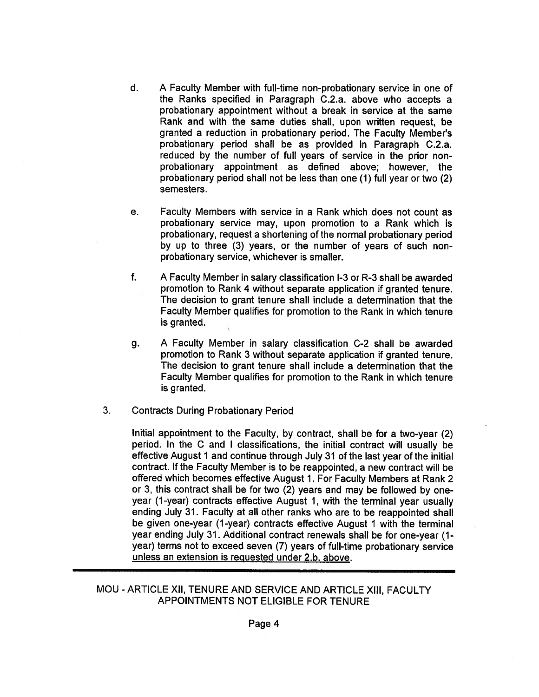- $d_{\cdot}$ A Faculty Member with full-time non-probationary service in one of the Ranks specified in Paragraph C.2.a. above who accepts a probationary appointment without a break in service at the same Rank and with the same duties shall, upon written request, be granted a reduction in probationary period. The Faculty Member's probationary period shall be as provided in Paragraph C.2.a. reduced by the number of full years of service in the prior nonprobationary appointment as defined above: however, the probationary period shall not be less than one (1) full year or two (2) semesters.
- e. Faculty Members with service in a Rank which does not count as probationary service may, upon promotion to a Rank which is probationary, request a shortening of the normal probationary period by up to three (3) years, or the number of years of such nonprobationary service, whichever is smaller.
- $f_{\cdot}$ A Faculty Member in salary classification I-3 or R-3 shall be awarded promotion to Rank 4 without separate application if granted tenure. The decision to grant tenure shall include a determination that the Faculty Member qualifies for promotion to the Rank in which tenure is granted.
- A Faculty Member in salary classification C-2 shall be awarded g. promotion to Rank 3 without separate application if granted tenure. The decision to grant tenure shall include a determination that the Faculty Member qualifies for promotion to the Rank in which tenure is granted.
- $3<sub>1</sub>$ **Contracts During Probationary Period**

Initial appointment to the Faculty, by contract, shall be for a two-year (2) period. In the C and I classifications, the initial contract will usually be effective August 1 and continue through July 31 of the last year of the initial contract. If the Faculty Member is to be reappointed, a new contract will be offered which becomes effective August 1. For Faculty Members at Rank 2 or 3, this contract shall be for two (2) years and may be followed by oneyear (1-year) contracts effective August 1, with the terminal year usually ending July 31. Faculty at all other ranks who are to be reappointed shall be given one-year (1-year) contracts effective August 1 with the terminal year ending July 31. Additional contract renewals shall be for one-year (1year) terms not to exceed seven (7) years of full-time probationary service unless an extension is requested under 2.b. above.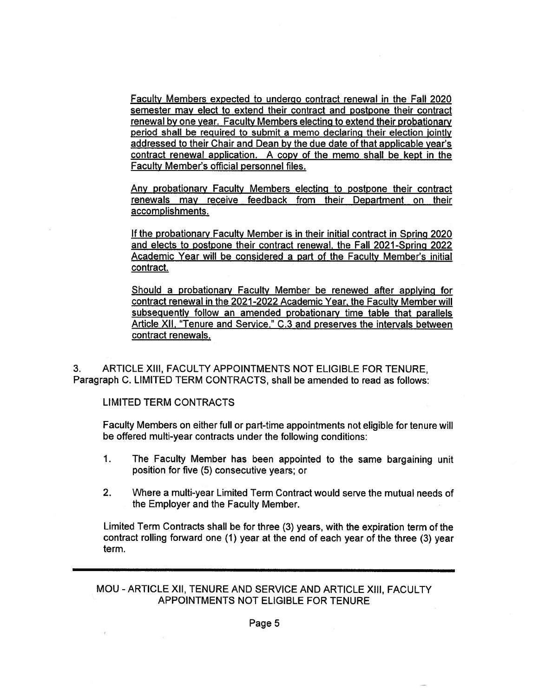Faculty Members expected to undergo contract renewal in the Fall 2020 semester may elect to extend their contract and postpone their contract renewal by one year. Faculty Members electing to extend their probationary period shall be required to submit a memo declaring their election jointly addressed to their Chair and Dean by the due date of that applicable year's contract renewal application. A copy of the memo shall be kept in the **Faculty Member's official personnel files.** 

Any probationary Faculty Members electing to postpone their contract renewals may receive feedback from their Department on their accomplishments.

If the probationary Faculty Member is in their initial contract in Spring 2020 and elects to postpone their contract renewal, the Fall 2021-Spring 2022 Academic Year will be considered a part of the Faculty Member's initial contract.

Should a probationary Faculty Member be renewed after applying for contract renewal in the 2021-2022 Academic Year, the Faculty Member will subsequently follow an amended probationary time table that parallels Article XII, "Tenure and Service," C.3 and preserves the intervals between contract renewals.

ARTICLE XIII, FACULTY APPOINTMENTS NOT ELIGIBLE FOR TENURE.  $3<sub>1</sub>$ Paragraph C. LIMITED TERM CONTRACTS, shall be amended to read as follows:

**LIMITED TERM CONTRACTS** 

Faculty Members on either full or part-time appointments not eligible for tenure will be offered multi-year contracts under the following conditions:

- $1<sub>1</sub>$ The Faculty Member has been appointed to the same bargaining unit position for five (5) consecutive years; or
- $2.$ Where a multi-year Limited Term Contract would serve the mutual needs of the Employer and the Faculty Member.

Limited Term Contracts shall be for three (3) years, with the expiration term of the contract rolling forward one (1) year at the end of each year of the three (3) year term.

MOU - ARTICLE XII, TENURE AND SERVICE AND ARTICLE XIII, FACULTY APPOINTMENTS NOT ELIGIBLE FOR TENURE

Page 5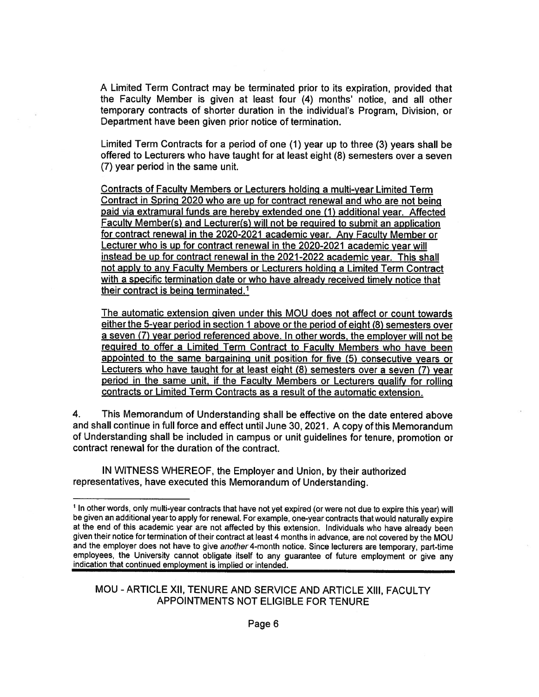A Limited Term Contract may be terminated prior to its expiration, provided that the Faculty Member is given at least four (4) months' notice, and all other temporary contracts of shorter duration in the individual's Program, Division, or Department have been given prior notice of termination.

Limited Term Contracts for a period of one (1) year up to three (3) years shall be offered to Lecturers who have taught for at least eight (8) semesters over a seven (7) year period in the same unit.

Contracts of Faculty Members or Lecturers holding a multi-year Limited Term Contract in Spring 2020 who are up for contract renewal and who are not being paid via extramural funds are hereby extended one (1) additional year. Affected Faculty Member(s) and Lecturer(s) will not be required to submit an application for contract renewal in the 2020-2021 academic year. Any Faculty Member or Lecturer who is up for contract renewal in the 2020-2021 academic vear will instead be up for contract renewal in the 2021-2022 academic year. This shall not apply to any Faculty Members or Lecturers holding a Limited Term Contract with a specific termination date or who have already received timely notice that their contract is being terminated.<sup>1</sup>

The automatic extension given under this MOU does not affect or count towards either the 5-year period in section 1 above or the period of eight (8) semesters over a seven (7) year period referenced above. In other words, the employer will not be required to offer a Limited Term Contract to Faculty Members who have been appointed to the same bargaining unit position for five (5) consecutive years or Lecturers who have taught for at least eight (8) semesters over a seven (7) year period in the same unit, if the Faculty Members or Lecturers qualify for rolling contracts or Limited Term Contracts as a result of the automatic extension.

4. This Memorandum of Understanding shall be effective on the date entered above and shall continue in full force and effect until June 30, 2021. A copy of this Memorandum of Understanding shall be included in campus or unit guidelines for tenure, promotion or contract renewal for the duration of the contract.

IN WITNESS WHEREOF, the Employer and Union, by their authorized representatives, have executed this Memorandum of Understanding.

<sup>&</sup>lt;sup>1</sup> In other words, only multi-year contracts that have not yet expired (or were not due to expire this year) will be given an additional year to apply for renewal. For example, one-year contracts that would naturally expire at the end of this academic year are not affected by this extension. Individuals who have already been given their notice for termination of their contract at least 4 months in advance, are not covered by the MOU and the employer does not have to give another 4-month notice. Since lecturers are temporary, part-time employees, the University cannot obligate itself to any guarantee of future employment or give any indication that continued employment is implied or intended.